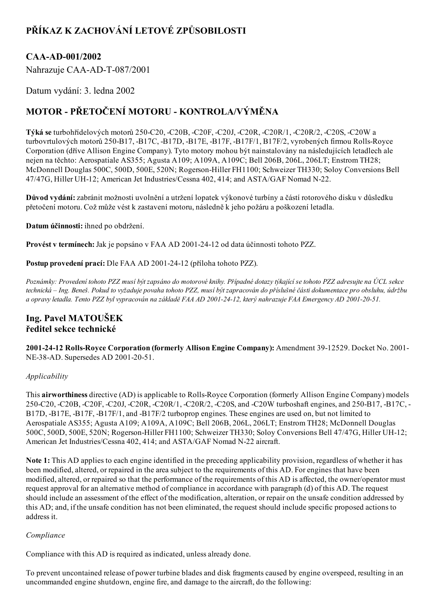# PŘÍKAZ K ZACHOVÁNÍ LETOVÉ ZPŮSOBILOSTI

# CAA-AD-001/2002

Nahrazuje CAA-AD-T-087/2001

Datum vydání: 3. ledna 2002

# MOTOR - PŘETOČENÍ MOTORU - KONTROLA/VÝMĚNA

Týká se turbohřídelových motorů 250-C20, -C20B, -C20F, -C20J, -C20R, -C20R/1, -C20R/2, -C20S, -C20W a turbovrtulových motorů 250-B17, -B17C, -B17D, -B17E, -B17F, -B17F/1, B17F/2, vyrobených firmou Rolls-Royce Corporation (dříve Allison Engine Company). Tyto motory mohou být nainstalovány na následujících letadlech ale nejen na těchto: Aerospatiale AS355; Agusta A109; A109A, A109C; Bell 206B, 206L, 206LT; Enstrom TH28; McDonnell Douglas 500C, 500D, 500E, 520N; Rogerson-Hiller FH1100; Schweizer TH330; Soloy Conversions Bell 47/47G, Hiller UH-12; American Jet Industries/Cessna 402, 414; and ASTA/GAF Nomad N-22.

Důvod vydání: zabránit možnosti uvolnění a utržení lopatek výkonové turbíny a částí rotorového disku v důsledku přetočení motoru. Což může vést k zastavení motoru, následně k jeho požáru a poškození letadla.

Datum účinnosti: ihned po obdržení.

Provést v termínech: Jak je popsáno v FAA AD 2001-24-12 od data účinnosti tohoto PZZ.

Postup provedení prací: Dle FAA AD 2001-24-12 (příloha tohoto PZZ).

Poznámky: Provedení tohoto PZZ musí být zapsáno do motorové knihy. Případné dotazy týkající se tohoto PZZ adresujte na ÚCL sekce technická – Ing. Beneš. Pokud to vyžaduje povaha tohoto PZZ, musí být zapracován do příslušné části dokumentace pro obsluhu, údržbu a opravy letadla. Tento PZZ byl vypracován na základě FAA AD 2001-24-12, který nahrazuje FAA Emergency AD 2001-20-51.

## Ing. Pavel MATOUŠEK ředitel sekce technické

2001-24-12 Rolls-Royce Corporation (formerly Allison Engine Company): Amendment 39-12529. Docket No. 2001-NE-38-AD. Supersedes AD 2001-20-51.

## Applicability

This airworthiness directive (AD) is applicable to Rolls-Royce Corporation (formerly Allison Engine Company) models 250-C20, -C20B, -C20F, -C20J, -C20R, -C20R/1, -C20R/2, -C20S, and -C20W turboshaft engines, and 250-B17, -B17C, -B17D, -B17E, -B17F, -B17F/1, and -B17F/2 turboprop engines. These engines are used on, but not limited to Aerospatiale AS355; Agusta A109; A109A, A109C; Bell 206B, 206L, 206LT; Enstrom TH28; McDonnell Douglas 500C, 500D, 500E, 520N; Rogerson-Hiller FH1100; Schweizer TH330; Soloy Conversions Bell 47/47G, Hiller UH-12; American Jet Industries/Cessna 402, 414; and ASTA/GAF Nomad N-22 aircraft.

Note 1: This AD applies to each engine identified in the preceding applicability provision, regardless of whether it has been modified, altered, or repaired in the area subject to the requirements of this AD. For engines that have been modified, altered, or repaired so that the performance of the requirements of this AD is affected, the owner/operator must request approval for an alternative method of compliance in accordance with paragraph (d) of this AD. The request should include an assessment of the effect of the modification, alteration, or repair on the unsafe condition addressed by this AD; and, if the unsafe condition has not been eliminated, the request should include specific proposed actions to address it.

## Compliance

Compliance with this AD is required as indicated, unless already done.

To prevent uncontained release of power turbine blades and disk fragments caused by engine overspeed, resulting in an uncommanded engine shutdown, engine fire, and damage to the aircraft, do the following: